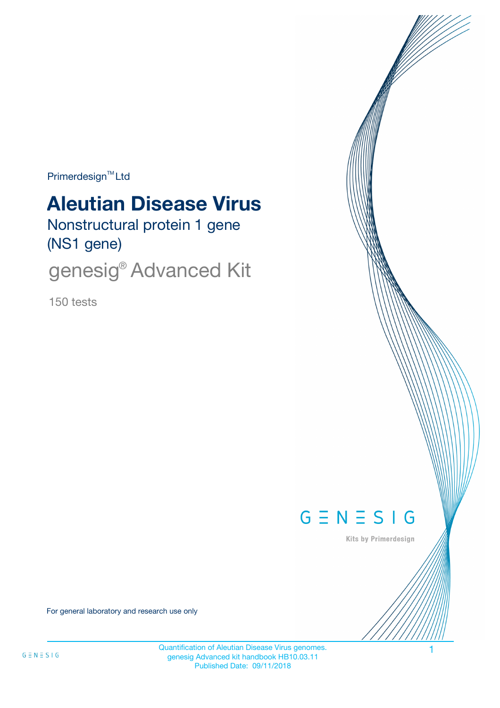$Primerdesign^{\text{TM}}$ Ltd

# **Aleutian Disease Virus**

Nonstructural protein 1 gene (NS1 gene)

genesig<sup>®</sup> Advanced Kit

150 tests



Kits by Primerdesign

For general laboratory and research use only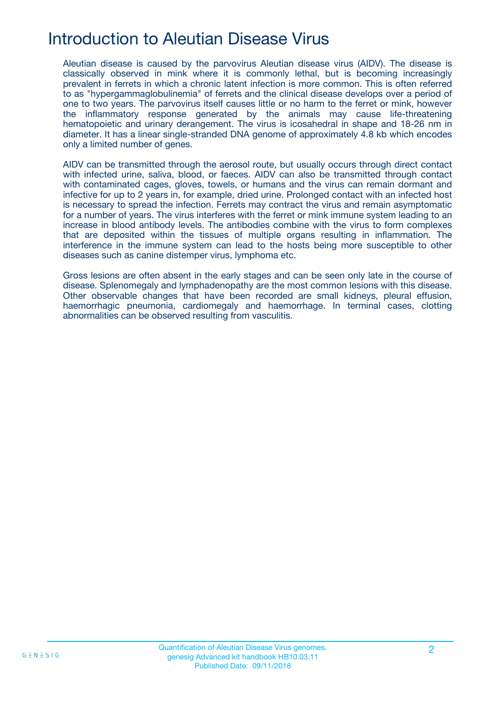## Introduction to Aleutian Disease Virus

Aleutian disease is caused by the parvovirus Aleutian disease virus (AIDV). The disease is classically observed in mink where it is commonly lethal, but is becoming increasingly prevalent in ferrets in which a chronic latent infection is more common. This is often referred to as "hypergammaglobulinemia" of ferrets and the clinical disease develops over a period of one to two years. The parvovirus itself causes little or no harm to the ferret or mink, however the inflammatory response generated by the animals may cause life-threatening hematopoietic and urinary derangement. The virus is icosahedral in shape and 18-26 nm in diameter. It has a linear single-stranded DNA genome of approximately 4.8 kb which encodes only a limited number of genes.

AIDV can be transmitted through the aerosol route, but usually occurs through direct contact with infected urine, saliva, blood, or faeces. AIDV can also be transmitted through contact with contaminated cages, gloves, towels, or humans and the virus can remain dormant and infective for up to 2 years in, for example, dried urine. Prolonged contact with an infected host is necessary to spread the infection. Ferrets may contract the virus and remain asymptomatic for a number of years. The virus interferes with the ferret or mink immune system leading to an increase in blood antibody levels. The antibodies combine with the virus to form complexes that are deposited within the tissues of multiple organs resulting in inflammation. The interference in the immune system can lead to the hosts being more susceptible to other diseases such as canine distemper virus, lymphoma etc.

Gross lesions are often absent in the early stages and can be seen only late in the course of disease. Splenomegaly and lymphadenopathy are the most common lesions with this disease. Other observable changes that have been recorded are small kidneys, pleural effusion, haemorrhagic pneumonia, cardiomegaly and haemorrhage. In terminal cases, clotting abnormalities can be observed resulting from vasculitis.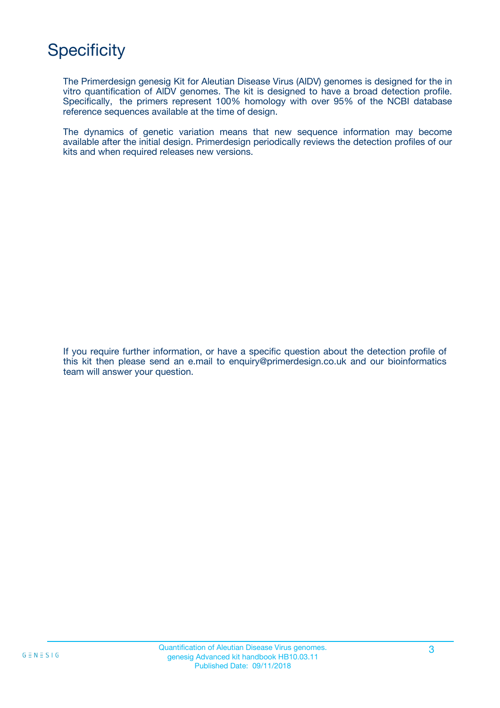## **Specificity**

The Primerdesign genesig Kit for Aleutian Disease Virus (AlDV) genomes is designed for the in vitro quantification of AlDV genomes. The kit is designed to have a broad detection profile. Specifically, the primers represent 100% homology with over 95% of the NCBI database reference sequences available at the time of design.

The dynamics of genetic variation means that new sequence information may become available after the initial design. Primerdesign periodically reviews the detection profiles of our kits and when required releases new versions.

If you require further information, or have a specific question about the detection profile of this kit then please send an e.mail to enquiry@primerdesign.co.uk and our bioinformatics team will answer your question.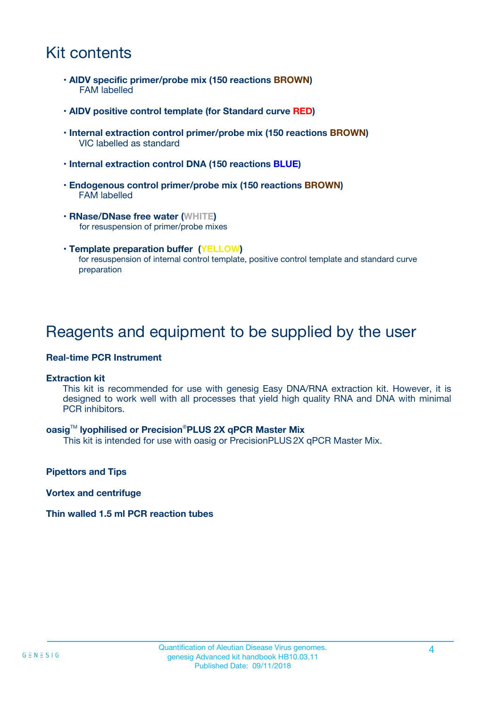## Kit contents

- **AlDV specific primer/probe mix (150 reactions BROWN)** FAM labelled
- **AlDV positive control template (for Standard curve RED)**
- **Internal extraction control primer/probe mix (150 reactions BROWN)** VIC labelled as standard
- **Internal extraction control DNA (150 reactions BLUE)**
- **Endogenous control primer/probe mix (150 reactions BROWN)** FAM labelled
- **RNase/DNase free water (WHITE)** for resuspension of primer/probe mixes
- **Template preparation buffer (YELLOW)** for resuspension of internal control template, positive control template and standard curve preparation

## Reagents and equipment to be supplied by the user

#### **Real-time PCR Instrument**

#### **Extraction kit**

This kit is recommended for use with genesig Easy DNA/RNA extraction kit. However, it is designed to work well with all processes that yield high quality RNA and DNA with minimal PCR inhibitors.

#### **oasig**TM **lyophilised or Precision**®**PLUS 2X qPCR Master Mix**

This kit is intended for use with oasig or PrecisionPLUS2X qPCR Master Mix.

**Pipettors and Tips**

**Vortex and centrifuge**

#### **Thin walled 1.5 ml PCR reaction tubes**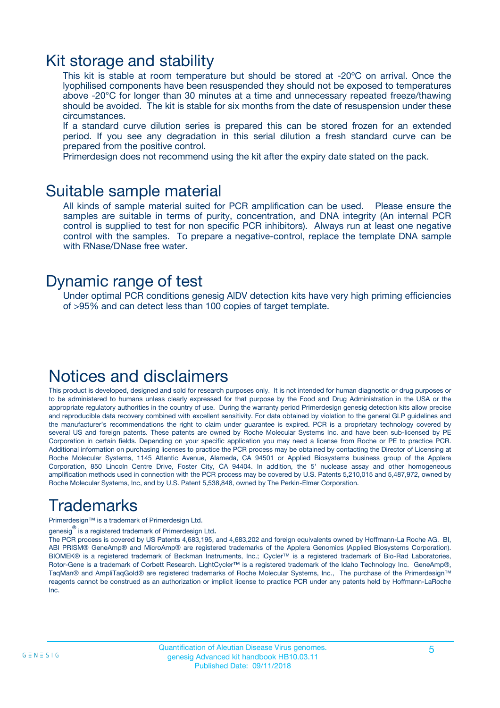### Kit storage and stability

This kit is stable at room temperature but should be stored at -20ºC on arrival. Once the lyophilised components have been resuspended they should not be exposed to temperatures above -20°C for longer than 30 minutes at a time and unnecessary repeated freeze/thawing should be avoided. The kit is stable for six months from the date of resuspension under these circumstances.

If a standard curve dilution series is prepared this can be stored frozen for an extended period. If you see any degradation in this serial dilution a fresh standard curve can be prepared from the positive control.

Primerdesign does not recommend using the kit after the expiry date stated on the pack.

### Suitable sample material

All kinds of sample material suited for PCR amplification can be used. Please ensure the samples are suitable in terms of purity, concentration, and DNA integrity (An internal PCR control is supplied to test for non specific PCR inhibitors). Always run at least one negative control with the samples. To prepare a negative-control, replace the template DNA sample with RNase/DNase free water.

### Dynamic range of test

Under optimal PCR conditions genesig AlDV detection kits have very high priming efficiencies of >95% and can detect less than 100 copies of target template.

### Notices and disclaimers

This product is developed, designed and sold for research purposes only. It is not intended for human diagnostic or drug purposes or to be administered to humans unless clearly expressed for that purpose by the Food and Drug Administration in the USA or the appropriate regulatory authorities in the country of use. During the warranty period Primerdesign genesig detection kits allow precise and reproducible data recovery combined with excellent sensitivity. For data obtained by violation to the general GLP guidelines and the manufacturer's recommendations the right to claim under guarantee is expired. PCR is a proprietary technology covered by several US and foreign patents. These patents are owned by Roche Molecular Systems Inc. and have been sub-licensed by PE Corporation in certain fields. Depending on your specific application you may need a license from Roche or PE to practice PCR. Additional information on purchasing licenses to practice the PCR process may be obtained by contacting the Director of Licensing at Roche Molecular Systems, 1145 Atlantic Avenue, Alameda, CA 94501 or Applied Biosystems business group of the Applera Corporation, 850 Lincoln Centre Drive, Foster City, CA 94404. In addition, the 5' nuclease assay and other homogeneous amplification methods used in connection with the PCR process may be covered by U.S. Patents 5,210,015 and 5,487,972, owned by Roche Molecular Systems, Inc, and by U.S. Patent 5,538,848, owned by The Perkin-Elmer Corporation.

## Trademarks

Primerdesign™ is a trademark of Primerdesign Ltd.

genesig $^\circledR$  is a registered trademark of Primerdesign Ltd.

The PCR process is covered by US Patents 4,683,195, and 4,683,202 and foreign equivalents owned by Hoffmann-La Roche AG. BI, ABI PRISM® GeneAmp® and MicroAmp® are registered trademarks of the Applera Genomics (Applied Biosystems Corporation). BIOMEK® is a registered trademark of Beckman Instruments, Inc.; iCycler™ is a registered trademark of Bio-Rad Laboratories, Rotor-Gene is a trademark of Corbett Research. LightCycler™ is a registered trademark of the Idaho Technology Inc. GeneAmp®, TaqMan® and AmpliTaqGold® are registered trademarks of Roche Molecular Systems, Inc., The purchase of the Primerdesign™ reagents cannot be construed as an authorization or implicit license to practice PCR under any patents held by Hoffmann-LaRoche Inc.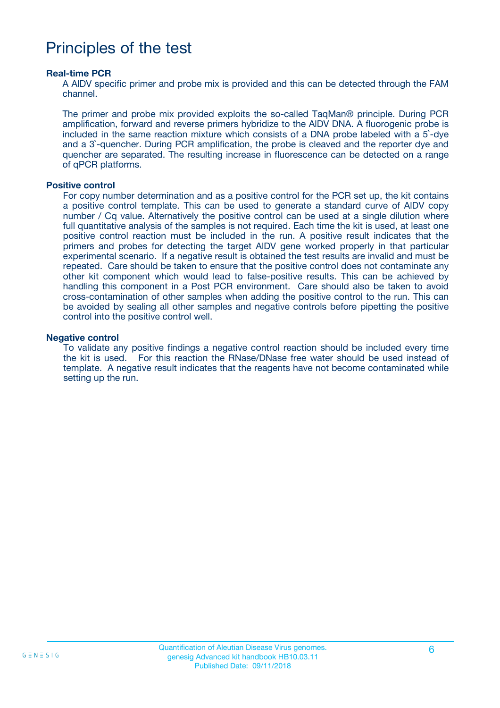## Principles of the test

#### **Real-time PCR**

A AlDV specific primer and probe mix is provided and this can be detected through the FAM channel.

The primer and probe mix provided exploits the so-called TaqMan® principle. During PCR amplification, forward and reverse primers hybridize to the AlDV DNA. A fluorogenic probe is included in the same reaction mixture which consists of a DNA probe labeled with a 5`-dye and a 3`-quencher. During PCR amplification, the probe is cleaved and the reporter dye and quencher are separated. The resulting increase in fluorescence can be detected on a range of qPCR platforms.

#### **Positive control**

For copy number determination and as a positive control for the PCR set up, the kit contains a positive control template. This can be used to generate a standard curve of AlDV copy number / Cq value. Alternatively the positive control can be used at a single dilution where full quantitative analysis of the samples is not required. Each time the kit is used, at least one positive control reaction must be included in the run. A positive result indicates that the primers and probes for detecting the target AlDV gene worked properly in that particular experimental scenario. If a negative result is obtained the test results are invalid and must be repeated. Care should be taken to ensure that the positive control does not contaminate any other kit component which would lead to false-positive results. This can be achieved by handling this component in a Post PCR environment. Care should also be taken to avoid cross-contamination of other samples when adding the positive control to the run. This can be avoided by sealing all other samples and negative controls before pipetting the positive control into the positive control well.

#### **Negative control**

To validate any positive findings a negative control reaction should be included every time the kit is used. For this reaction the RNase/DNase free water should be used instead of template. A negative result indicates that the reagents have not become contaminated while setting up the run.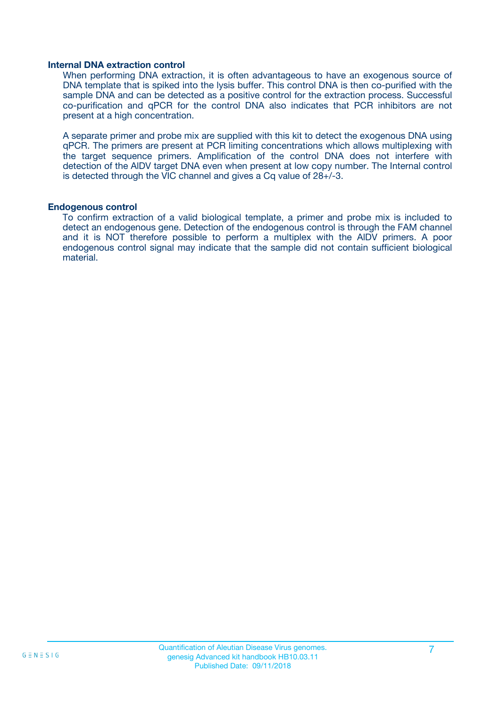#### **Internal DNA extraction control**

When performing DNA extraction, it is often advantageous to have an exogenous source of DNA template that is spiked into the lysis buffer. This control DNA is then co-purified with the sample DNA and can be detected as a positive control for the extraction process. Successful co-purification and qPCR for the control DNA also indicates that PCR inhibitors are not present at a high concentration.

A separate primer and probe mix are supplied with this kit to detect the exogenous DNA using qPCR. The primers are present at PCR limiting concentrations which allows multiplexing with the target sequence primers. Amplification of the control DNA does not interfere with detection of the AlDV target DNA even when present at low copy number. The Internal control is detected through the VIC channel and gives a Cq value of 28+/-3.

#### **Endogenous control**

To confirm extraction of a valid biological template, a primer and probe mix is included to detect an endogenous gene. Detection of the endogenous control is through the FAM channel and it is NOT therefore possible to perform a multiplex with the AlDV primers. A poor endogenous control signal may indicate that the sample did not contain sufficient biological material.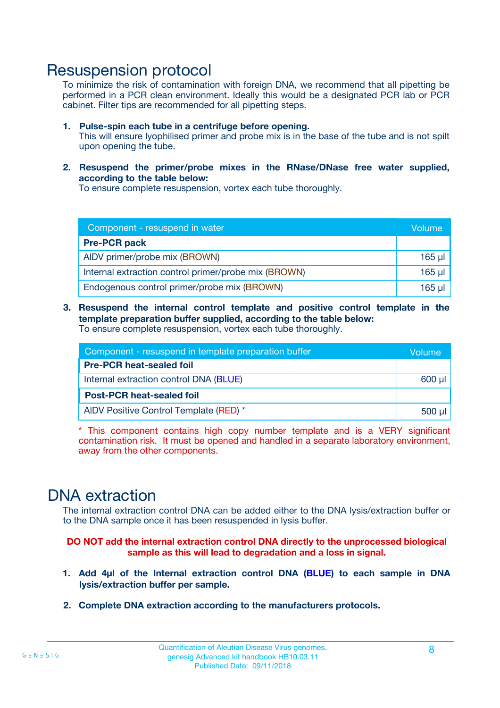### Resuspension protocol

To minimize the risk of contamination with foreign DNA, we recommend that all pipetting be performed in a PCR clean environment. Ideally this would be a designated PCR lab or PCR cabinet. Filter tips are recommended for all pipetting steps.

- **1. Pulse-spin each tube in a centrifuge before opening.** This will ensure lyophilised primer and probe mix is in the base of the tube and is not spilt upon opening the tube.
- **2. Resuspend the primer/probe mixes in the RNase/DNase free water supplied, according to the table below:**

To ensure complete resuspension, vortex each tube thoroughly.

| Component - resuspend in water                       |          |  |
|------------------------------------------------------|----------|--|
| <b>Pre-PCR pack</b>                                  |          |  |
| AIDV primer/probe mix (BROWN)                        | $165$ µ  |  |
| Internal extraction control primer/probe mix (BROWN) | $165$ µl |  |
| Endogenous control primer/probe mix (BROWN)          | 165 µl   |  |

**3. Resuspend the internal control template and positive control template in the template preparation buffer supplied, according to the table below:** To ensure complete resuspension, vortex each tube thoroughly.

| Component - resuspend in template preparation buffer |          |  |  |
|------------------------------------------------------|----------|--|--|
| <b>Pre-PCR heat-sealed foil</b>                      |          |  |  |
| Internal extraction control DNA (BLUE)               |          |  |  |
| <b>Post-PCR heat-sealed foil</b>                     |          |  |  |
| AIDV Positive Control Template (RED) *               | $500$ µl |  |  |

\* This component contains high copy number template and is a VERY significant contamination risk. It must be opened and handled in a separate laboratory environment, away from the other components.

### DNA extraction

The internal extraction control DNA can be added either to the DNA lysis/extraction buffer or to the DNA sample once it has been resuspended in lysis buffer.

**DO NOT add the internal extraction control DNA directly to the unprocessed biological sample as this will lead to degradation and a loss in signal.**

- **1. Add 4µl of the Internal extraction control DNA (BLUE) to each sample in DNA lysis/extraction buffer per sample.**
- **2. Complete DNA extraction according to the manufacturers protocols.**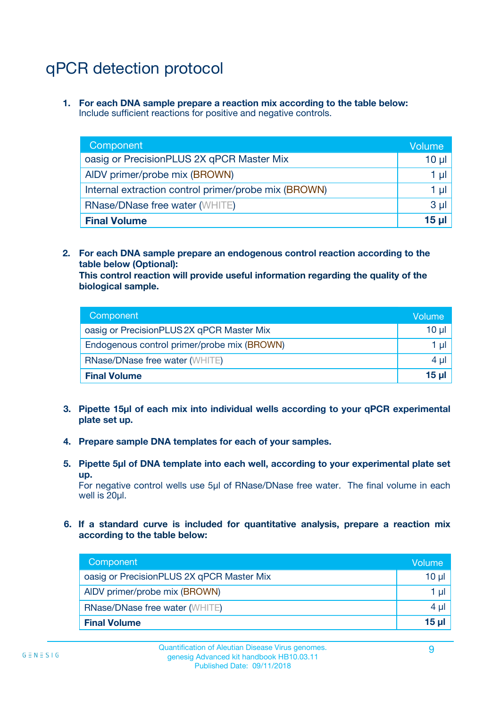## qPCR detection protocol

**1. For each DNA sample prepare a reaction mix according to the table below:** Include sufficient reactions for positive and negative controls.

| Component                                            | Volume   |
|------------------------------------------------------|----------|
| oasig or PrecisionPLUS 2X qPCR Master Mix            | $10 \mu$ |
| AIDV primer/probe mix (BROWN)                        | 1 µI     |
| Internal extraction control primer/probe mix (BROWN) | 1 µl     |
| <b>RNase/DNase free water (WHITE)</b>                | $3 \mu$  |
| <b>Final Volume</b>                                  | 15 µl    |

**2. For each DNA sample prepare an endogenous control reaction according to the table below (Optional):**

**This control reaction will provide useful information regarding the quality of the biological sample.**

| Component                                   | Volume          |
|---------------------------------------------|-----------------|
| oasig or PrecisionPLUS 2X qPCR Master Mix   | 10 µl           |
| Endogenous control primer/probe mix (BROWN) | 1 ul            |
| <b>RNase/DNase free water (WHITE)</b>       | $4 \mu$         |
| <b>Final Volume</b>                         | 15 <sub>µ</sub> |

- **3. Pipette 15µl of each mix into individual wells according to your qPCR experimental plate set up.**
- **4. Prepare sample DNA templates for each of your samples.**
- **5. Pipette 5µl of DNA template into each well, according to your experimental plate set up.**

For negative control wells use 5µl of RNase/DNase free water. The final volume in each well is 20ul.

**6. If a standard curve is included for quantitative analysis, prepare a reaction mix according to the table below:**

| Component                                 | Volume  |
|-------------------------------------------|---------|
| oasig or PrecisionPLUS 2X qPCR Master Mix | 10 µl   |
| AIDV primer/probe mix (BROWN)             | 1 µI    |
| <b>RNase/DNase free water (WHITE)</b>     | $4 \mu$ |
| <b>Final Volume</b>                       | 15 µl   |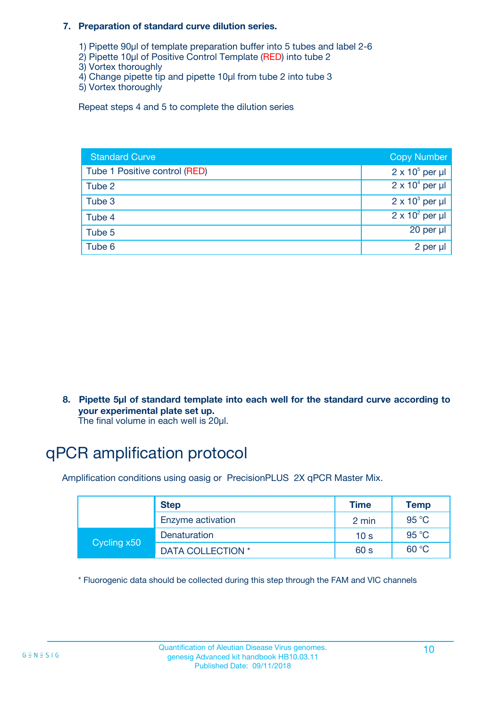#### **7. Preparation of standard curve dilution series.**

- 1) Pipette 90µl of template preparation buffer into 5 tubes and label 2-6
- 2) Pipette 10µl of Positive Control Template (RED) into tube 2
- 3) Vortex thoroughly
- 4) Change pipette tip and pipette 10µl from tube 2 into tube 3
- 5) Vortex thoroughly

Repeat steps 4 and 5 to complete the dilution series

| <b>Standard Curve</b>         | <b>Copy Number</b>     |
|-------------------------------|------------------------|
| Tube 1 Positive control (RED) | $2 \times 10^5$ per µl |
| Tube 2                        | $2 \times 10^4$ per µl |
| Tube 3                        | $2 \times 10^3$ per µl |
| Tube 4                        | $2 \times 10^2$ per µl |
| Tube 5                        | 20 per µl              |
| Tube 6                        | 2 per µl               |

**8. Pipette 5µl of standard template into each well for the standard curve according to your experimental plate set up.**

#### The final volume in each well is 20µl.

## qPCR amplification protocol

Amplification conditions using oasig or PrecisionPLUS 2X qPCR Master Mix.

|             | <b>Step</b>       | <b>Time</b>     | Temp    |
|-------------|-------------------|-----------------|---------|
|             | Enzyme activation | 2 min           | 95 °C   |
| Cycling x50 | Denaturation      | 10 <sub>s</sub> | 95 $°C$ |
|             | DATA COLLECTION * | 60 s            | 60 °C   |

\* Fluorogenic data should be collected during this step through the FAM and VIC channels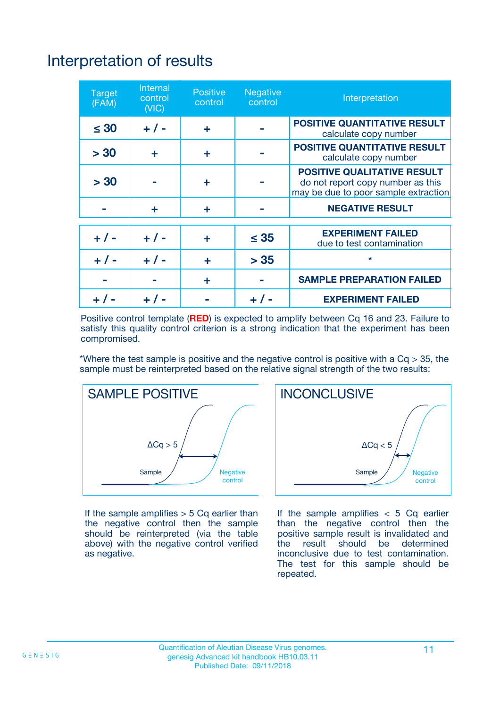## Interpretation of results

| <b>Target</b><br>(FAM) | <b>Internal</b><br>control<br>(NIC) | <b>Positive</b><br>control | <b>Negative</b><br>control | Interpretation                                                                                                  |
|------------------------|-------------------------------------|----------------------------|----------------------------|-----------------------------------------------------------------------------------------------------------------|
| $\leq 30$              | $+ 1 -$                             | ÷                          |                            | <b>POSITIVE QUANTITATIVE RESULT</b><br>calculate copy number                                                    |
| > 30                   | ٠                                   | ÷                          |                            | <b>POSITIVE QUANTITATIVE RESULT</b><br>calculate copy number                                                    |
| > 30                   |                                     | ÷                          |                            | <b>POSITIVE QUALITATIVE RESULT</b><br>do not report copy number as this<br>may be due to poor sample extraction |
|                        | ÷                                   | ÷                          |                            | <b>NEGATIVE RESULT</b>                                                                                          |
| $+ 1 -$                | $+ 1 -$                             | ÷                          | $\leq$ 35                  | <b>EXPERIMENT FAILED</b><br>due to test contamination                                                           |
| $+$ / -                | $+ 1 -$                             | ÷                          | > 35                       | $\star$                                                                                                         |
|                        |                                     | ÷                          |                            | <b>SAMPLE PREPARATION FAILED</b>                                                                                |
|                        |                                     |                            | $+$ /                      | <b>EXPERIMENT FAILED</b>                                                                                        |

Positive control template (**RED**) is expected to amplify between Cq 16 and 23. Failure to satisfy this quality control criterion is a strong indication that the experiment has been compromised.

\*Where the test sample is positive and the negative control is positive with a  $Ca > 35$ , the sample must be reinterpreted based on the relative signal strength of the two results:



If the sample amplifies  $> 5$  Cq earlier than the negative control then the sample should be reinterpreted (via the table above) with the negative control verified as negative.



If the sample amplifies  $< 5$  Cq earlier than the negative control then the positive sample result is invalidated and<br>the result should be determined  $the$  result should be inconclusive due to test contamination. The test for this sample should be repeated.